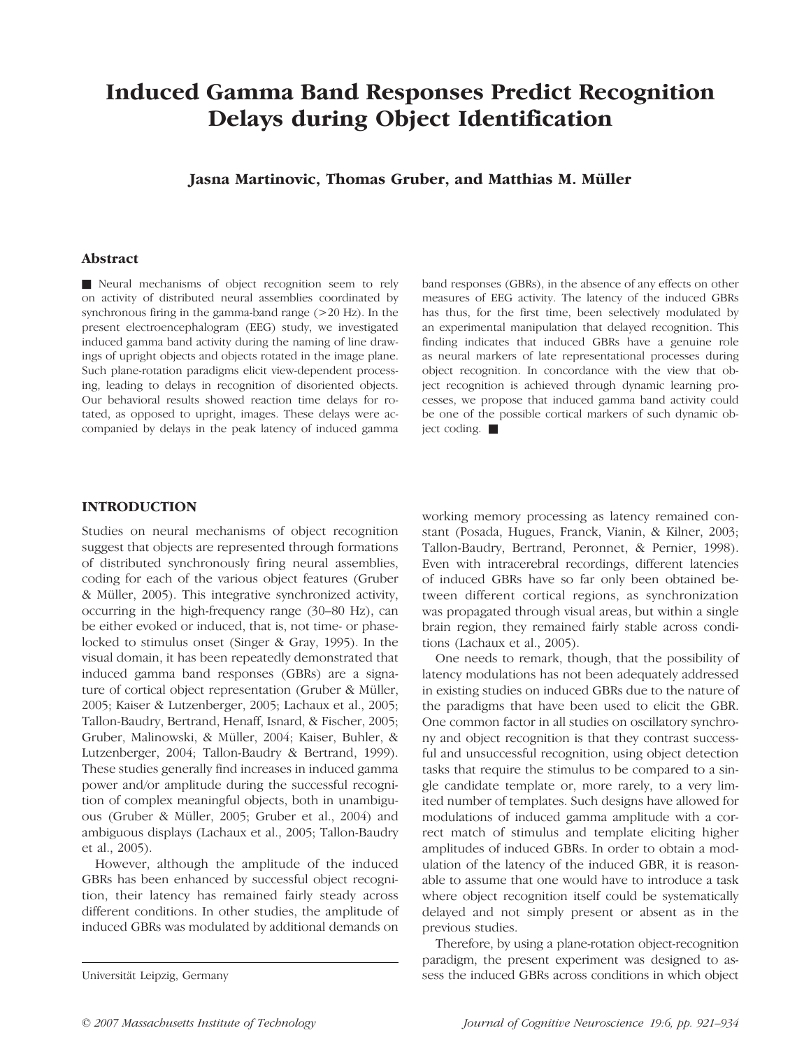# Induced Gamma Band Responses Predict Recognition Delays during Object Identification

Jasna Martinovic, Thomas Gruber, and Matthias M. Müller

## Abstract

E Neural mechanisms of object recognition seem to rely on activity of distributed neural assemblies coordinated by synchronous firing in the gamma-band range (>20 Hz). In the present electroencephalogram (EEG) study, we investigated induced gamma band activity during the naming of line drawings of upright objects and objects rotated in the image plane. Such plane-rotation paradigms elicit view-dependent processing, leading to delays in recognition of disoriented objects. Our behavioral results showed reaction time delays for rotated, as opposed to upright, images. These delays were accompanied by delays in the peak latency of induced gamma

band responses (GBRs), in the absence of any effects on other measures of EEG activity. The latency of the induced GBRs has thus, for the first time, been selectively modulated by an experimental manipulation that delayed recognition. This finding indicates that induced GBRs have a genuine role as neural markers of late representational processes during object recognition. In concordance with the view that object recognition is achieved through dynamic learning processes, we propose that induced gamma band activity could be one of the possible cortical markers of such dynamic object coding.

## INTRODUCTION

Studies on neural mechanisms of object recognition suggest that objects are represented through formations of distributed synchronously firing neural assemblies, coding for each of the various object features (Gruber & Müller, 2005). This integrative synchronized activity, occurring in the high-frequency range (30–80 Hz), can be either evoked or induced, that is, not time- or phaselocked to stimulus onset (Singer & Gray, 1995). In the visual domain, it has been repeatedly demonstrated that induced gamma band responses (GBRs) are a signature of cortical object representation (Gruber & Müller, 2005; Kaiser & Lutzenberger, 2005; Lachaux et al., 2005; Tallon-Baudry, Bertrand, Henaff, Isnard, & Fischer, 2005; Gruber, Malinowski, & Müller, 2004; Kaiser, Buhler, & Lutzenberger, 2004; Tallon-Baudry & Bertrand, 1999). These studies generally find increases in induced gamma power and/or amplitude during the successful recognition of complex meaningful objects, both in unambiguous (Gruber & Müller, 2005; Gruber et al., 2004) and ambiguous displays (Lachaux et al., 2005; Tallon-Baudry et al., 2005).

However, although the amplitude of the induced GBRs has been enhanced by successful object recognition, their latency has remained fairly steady across different conditions. In other studies, the amplitude of induced GBRs was modulated by additional demands on

working memory processing as latency remained constant (Posada, Hugues, Franck, Vianin, & Kilner, 2003; Tallon-Baudry, Bertrand, Peronnet, & Pernier, 1998). Even with intracerebral recordings, different latencies of induced GBRs have so far only been obtained between different cortical regions, as synchronization was propagated through visual areas, but within a single brain region, they remained fairly stable across conditions (Lachaux et al., 2005).

One needs to remark, though, that the possibility of latency modulations has not been adequately addressed in existing studies on induced GBRs due to the nature of the paradigms that have been used to elicit the GBR. One common factor in all studies on oscillatory synchrony and object recognition is that they contrast successful and unsuccessful recognition, using object detection tasks that require the stimulus to be compared to a single candidate template or, more rarely, to a very limited number of templates. Such designs have allowed for modulations of induced gamma amplitude with a correct match of stimulus and template eliciting higher amplitudes of induced GBRs. In order to obtain a modulation of the latency of the induced GBR, it is reasonable to assume that one would have to introduce a task where object recognition itself could be systematically delayed and not simply present or absent as in the previous studies.

Therefore, by using a plane-rotation object-recognition paradigm, the present experiment was designed to as-Universität Leipzig, Germany sess the induced GBRs across conditions in which object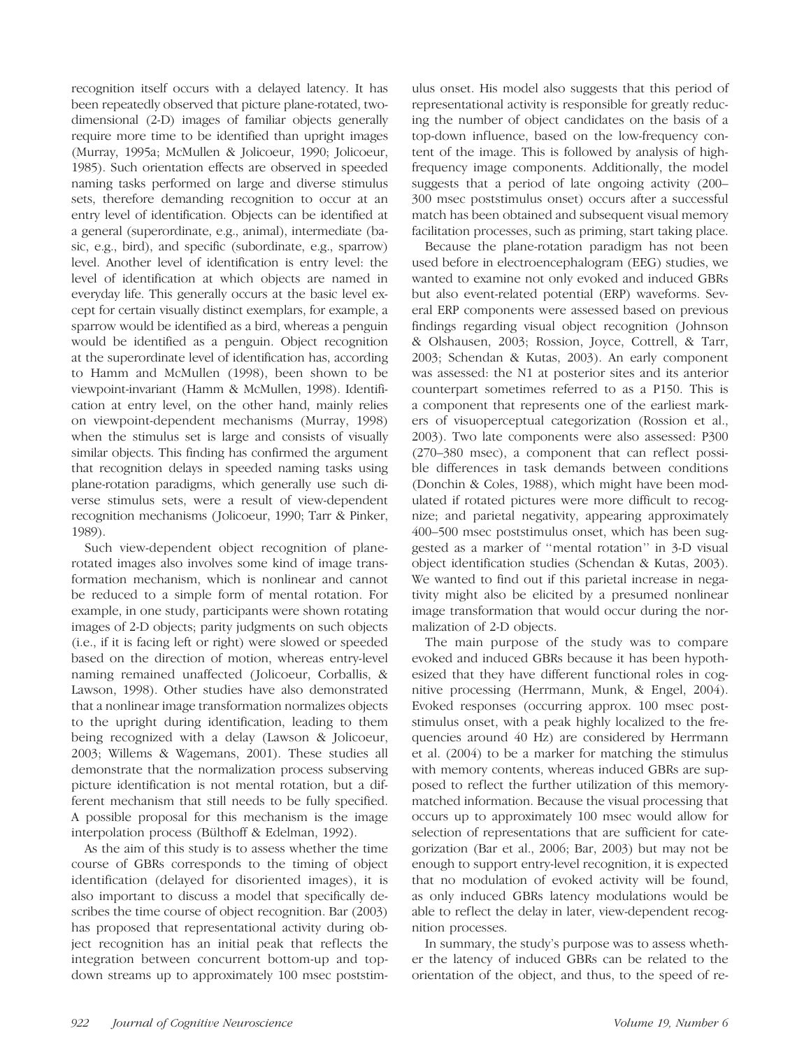recognition itself occurs with a delayed latency. It has been repeatedly observed that picture plane-rotated, twodimensional (2-D) images of familiar objects generally require more time to be identified than upright images (Murray, 1995a; McMullen & Jolicoeur, 1990; Jolicoeur, 1985). Such orientation effects are observed in speeded naming tasks performed on large and diverse stimulus sets, therefore demanding recognition to occur at an entry level of identification. Objects can be identified at a general (superordinate, e.g., animal), intermediate (basic, e.g., bird), and specific (subordinate, e.g., sparrow) level. Another level of identification is entry level: the level of identification at which objects are named in everyday life. This generally occurs at the basic level except for certain visually distinct exemplars, for example, a sparrow would be identified as a bird, whereas a penguin would be identified as a penguin. Object recognition at the superordinate level of identification has, according to Hamm and McMullen (1998), been shown to be viewpoint-invariant (Hamm & McMullen, 1998). Identification at entry level, on the other hand, mainly relies on viewpoint-dependent mechanisms (Murray, 1998) when the stimulus set is large and consists of visually similar objects. This finding has confirmed the argument that recognition delays in speeded naming tasks using plane-rotation paradigms, which generally use such diverse stimulus sets, were a result of view-dependent recognition mechanisms (Jolicoeur, 1990; Tarr & Pinker, 1989).

Such view-dependent object recognition of planerotated images also involves some kind of image transformation mechanism, which is nonlinear and cannot be reduced to a simple form of mental rotation. For example, in one study, participants were shown rotating images of 2-D objects; parity judgments on such objects (i.e., if it is facing left or right) were slowed or speeded based on the direction of motion, whereas entry-level naming remained unaffected (Jolicoeur, Corballis, & Lawson, 1998). Other studies have also demonstrated that a nonlinear image transformation normalizes objects to the upright during identification, leading to them being recognized with a delay (Lawson & Jolicoeur, 2003; Willems & Wagemans, 2001). These studies all demonstrate that the normalization process subserving picture identification is not mental rotation, but a different mechanism that still needs to be fully specified. A possible proposal for this mechanism is the image interpolation process (Bülthoff & Edelman, 1992).

As the aim of this study is to assess whether the time course of GBRs corresponds to the timing of object identification (delayed for disoriented images), it is also important to discuss a model that specifically describes the time course of object recognition. Bar (2003) has proposed that representational activity during object recognition has an initial peak that reflects the integration between concurrent bottom-up and topdown streams up to approximately 100 msec poststim-

ulus onset. His model also suggests that this period of representational activity is responsible for greatly reducing the number of object candidates on the basis of a top-down influence, based on the low-frequency content of the image. This is followed by analysis of highfrequency image components. Additionally, the model suggests that a period of late ongoing activity (200– 300 msec poststimulus onset) occurs after a successful match has been obtained and subsequent visual memory facilitation processes, such as priming, start taking place.

Because the plane-rotation paradigm has not been used before in electroencephalogram (EEG) studies, we wanted to examine not only evoked and induced GBRs but also event-related potential (ERP) waveforms. Several ERP components were assessed based on previous findings regarding visual object recognition (Johnson & Olshausen, 2003; Rossion, Joyce, Cottrell, & Tarr, 2003; Schendan & Kutas, 2003). An early component was assessed: the N1 at posterior sites and its anterior counterpart sometimes referred to as a P150. This is a component that represents one of the earliest markers of visuoperceptual categorization (Rossion et al., 2003). Two late components were also assessed: P300 (270–380 msec), a component that can reflect possible differences in task demands between conditions (Donchin & Coles, 1988), which might have been modulated if rotated pictures were more difficult to recognize; and parietal negativity, appearing approximately 400–500 msec poststimulus onset, which has been suggested as a marker of ''mental rotation'' in 3-D visual object identification studies (Schendan & Kutas, 2003). We wanted to find out if this parietal increase in negativity might also be elicited by a presumed nonlinear image transformation that would occur during the normalization of 2-D objects.

The main purpose of the study was to compare evoked and induced GBRs because it has been hypothesized that they have different functional roles in cognitive processing (Herrmann, Munk, & Engel, 2004). Evoked responses (occurring approx. 100 msec poststimulus onset, with a peak highly localized to the frequencies around 40 Hz) are considered by Herrmann et al. (2004) to be a marker for matching the stimulus with memory contents, whereas induced GBRs are supposed to reflect the further utilization of this memorymatched information. Because the visual processing that occurs up to approximately 100 msec would allow for selection of representations that are sufficient for categorization (Bar et al., 2006; Bar, 2003) but may not be enough to support entry-level recognition, it is expected that no modulation of evoked activity will be found, as only induced GBRs latency modulations would be able to reflect the delay in later, view-dependent recognition processes.

In summary, the study's purpose was to assess whether the latency of induced GBRs can be related to the orientation of the object, and thus, to the speed of re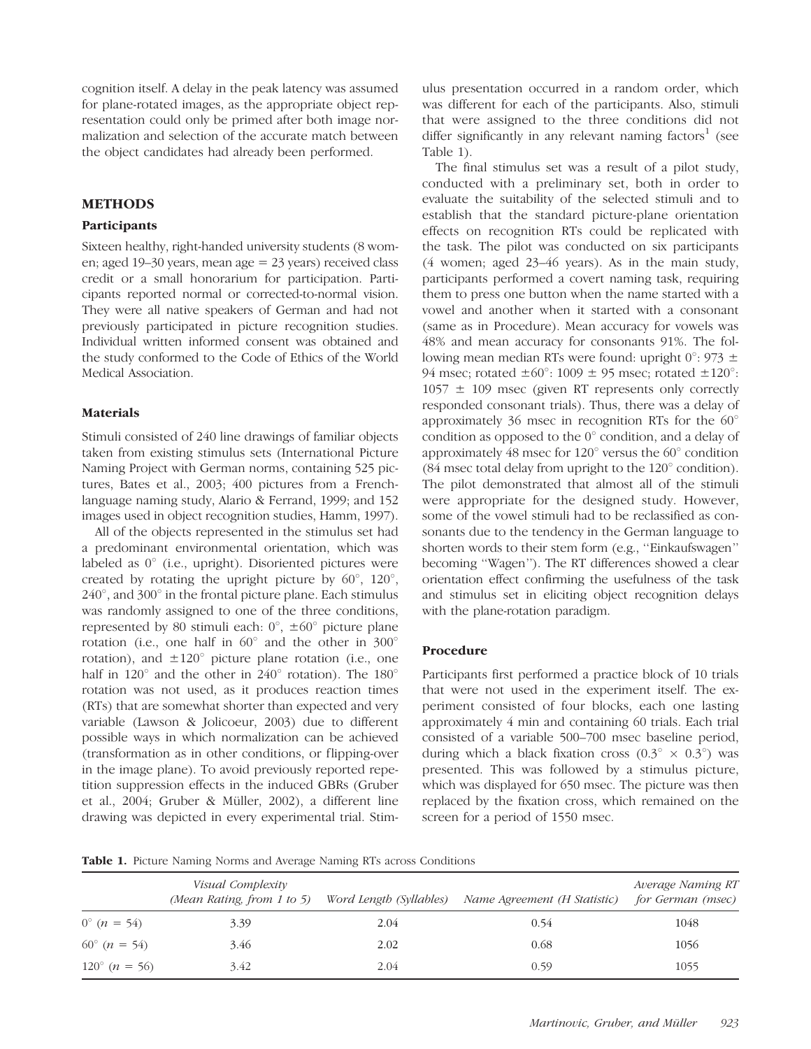cognition itself. A delay in the peak latency was assumed for plane-rotated images, as the appropriate object representation could only be primed after both image normalization and selection of the accurate match between the object candidates had already been performed.

## METHODS

## Participants

Sixteen healthy, right-handed university students (8 women; aged 19–30 years, mean age = 23 years) received class credit or a small honorarium for participation. Participants reported normal or corrected-to-normal vision. They were all native speakers of German and had not previously participated in picture recognition studies. Individual written informed consent was obtained and the study conformed to the Code of Ethics of the World Medical Association.

## Materials

Stimuli consisted of 240 line drawings of familiar objects taken from existing stimulus sets (International Picture Naming Project with German norms, containing 525 pictures, Bates et al., 2003; 400 pictures from a Frenchlanguage naming study, Alario & Ferrand, 1999; and 152 images used in object recognition studies, Hamm, 1997).

All of the objects represented in the stimulus set had a predominant environmental orientation, which was labeled as  $0^{\circ}$  (i.e., upright). Disoriented pictures were created by rotating the upright picture by  $60^{\circ}$ ,  $120^{\circ}$ ,  $240^\circ$ , and  $300^\circ$  in the frontal picture plane. Each stimulus was randomly assigned to one of the three conditions, represented by 80 stimuli each:  $0^\circ$ ,  $\pm 60^\circ$  picture plane rotation (i.e., one half in  $60^{\circ}$  and the other in  $300^{\circ}$ rotation), and  $\pm 120^\circ$  picture plane rotation (i.e., one half in 120 $^{\circ}$  and the other in 240 $^{\circ}$  rotation). The 180 $^{\circ}$ rotation was not used, as it produces reaction times (RTs) that are somewhat shorter than expected and very variable (Lawson & Jolicoeur, 2003) due to different possible ways in which normalization can be achieved (transformation as in other conditions, or flipping-over in the image plane). To avoid previously reported repetition suppression effects in the induced GBRs (Gruber et al., 2004; Gruber & Müller, 2002), a different line drawing was depicted in every experimental trial. Stimulus presentation occurred in a random order, which was different for each of the participants. Also, stimuli that were assigned to the three conditions did not differ significantly in any relevant naming factors<sup>1</sup> (see Table 1).

The final stimulus set was a result of a pilot study, conducted with a preliminary set, both in order to evaluate the suitability of the selected stimuli and to establish that the standard picture-plane orientation effects on recognition RTs could be replicated with the task. The pilot was conducted on six participants (4 women; aged 23–46 years). As in the main study, participants performed a covert naming task, requiring them to press one button when the name started with a vowel and another when it started with a consonant (same as in Procedure). Mean accuracy for vowels was 48% and mean accuracy for consonants 91%. The following mean median RTs were found: upright  $0^{\circ}$ : 973  $\pm$ 94 msec; rotated  $\pm 60^{\circ}$ : 1009  $\pm$  95 msec; rotated  $\pm 120^{\circ}$ :  $1057 \pm 109$  msec (given RT represents only correctly responded consonant trials). Thus, there was a delay of approximately 36 msec in recognition RTs for the  $60^\circ$ condition as opposed to the  $0^{\circ}$  condition, and a delay of approximately 48 msec for  $120^{\circ}$  versus the 60 $^{\circ}$  condition (84 msec total delay from upright to the  $120^{\circ}$  condition). The pilot demonstrated that almost all of the stimuli were appropriate for the designed study. However, some of the vowel stimuli had to be reclassified as consonants due to the tendency in the German language to shorten words to their stem form (e.g., ''Einkaufswagen'' becoming ''Wagen''). The RT differences showed a clear orientation effect confirming the usefulness of the task and stimulus set in eliciting object recognition delays with the plane-rotation paradigm.

#### Procedure

Participants first performed a practice block of 10 trials that were not used in the experiment itself. The experiment consisted of four blocks, each one lasting approximately 4 min and containing 60 trials. Each trial consisted of a variable 500–700 msec baseline period, during which a black fixation cross  $(0.3^{\circ} \times 0.3^{\circ})$  was presented. This was followed by a stimulus picture, which was displayed for 650 msec. The picture was then replaced by the fixation cross, which remained on the screen for a period of 1550 msec.

Table 1. Picture Naming Norms and Average Naming RTs across Conditions

|                                | Visual Complexity<br>(Mean Rating, from 1 to 5) | Word Length (Syllables) | Name Agreement (H Statistic) | Average Naming RT<br>for German (msec) |
|--------------------------------|-------------------------------------------------|-------------------------|------------------------------|----------------------------------------|
| $0^{\circ}$ $(n = 54)$         | 3.39                                            | 2.04                    | 0.54                         | 1048                                   |
| $60^{\circ}$ ( <i>n</i> = 54)  | 3.46                                            | 2.02                    | 0.68                         | 1056                                   |
| $120^{\circ}$ ( <i>n</i> = 56) | 3.42                                            | 2.04                    | 0.59                         | 1055                                   |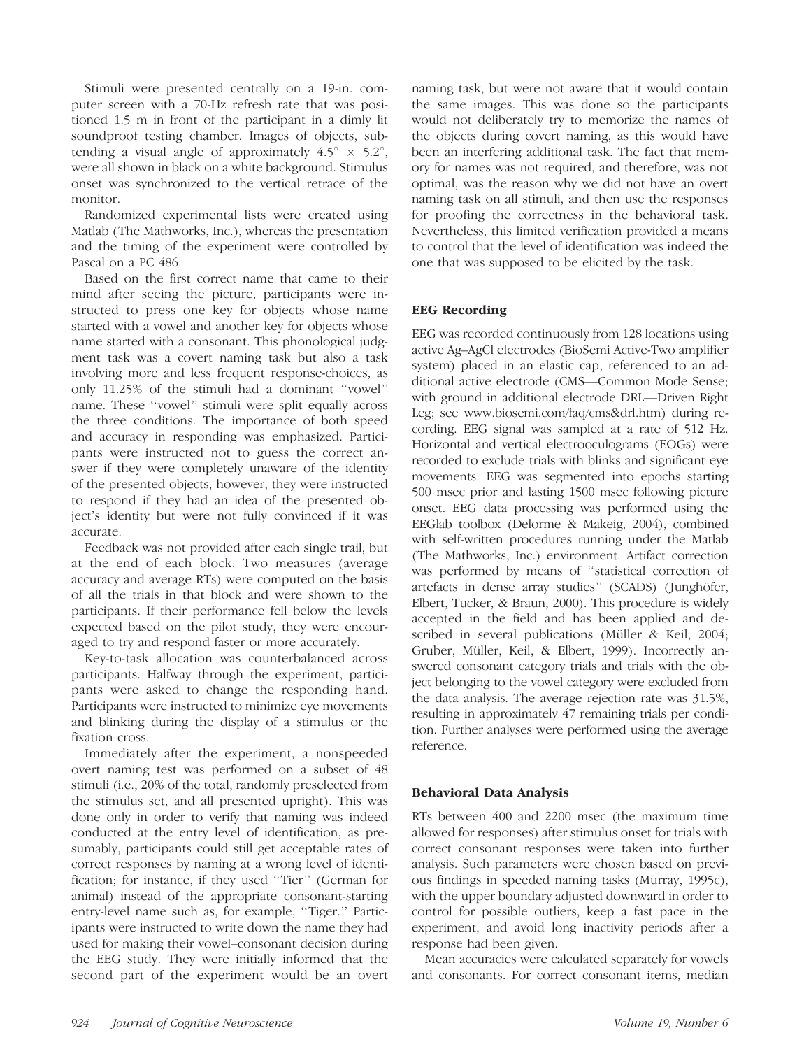Stimuli were presented centrally on a 19-in. computer screen with a 70-Hz refresh rate that was positioned 1.5 m in front of the participant in a dimly lit soundproof testing chamber. Images of objects, subtending a visual angle of approximately  $4.5^{\circ} \times 5.2^{\circ}$ , were all shown in black on a white background. Stimulus onset was synchronized to the vertical retrace of the monitor.

Randomized experimental lists were created using Matlab (The Mathworks, Inc.), whereas the presentation and the timing of the experiment were controlled by Pascal on a PC 486.

Based on the first correct name that came to their mind after seeing the picture, participants were instructed to press one key for objects whose name started with a vowel and another key for objects whose name started with a consonant. This phonological judgment task was a covert naming task but also a task involving more and less frequent response-choices, as only 11.25% of the stimuli had a dominant ''vowel'' name. These ''vowel'' stimuli were split equally across the three conditions. The importance of both speed and accuracy in responding was emphasized. Participants were instructed not to guess the correct answer if they were completely unaware of the identity of the presented objects, however, they were instructed to respond if they had an idea of the presented object's identity but were not fully convinced if it was accurate.

Feedback was not provided after each single trail, but at the end of each block. Two measures (average accuracy and average RTs) were computed on the basis of all the trials in that block and were shown to the participants. If their performance fell below the levels expected based on the pilot study, they were encouraged to try and respond faster or more accurately.

Key-to-task allocation was counterbalanced across participants. Halfway through the experiment, participants were asked to change the responding hand. Participants were instructed to minimize eye movements and blinking during the display of a stimulus or the fixation cross.

Immediately after the experiment, a nonspeeded overt naming test was performed on a subset of 48 stimuli (i.e., 20% of the total, randomly preselected from the stimulus set, and all presented upright). This was done only in order to verify that naming was indeed conducted at the entry level of identification, as presumably, participants could still get acceptable rates of correct responses by naming at a wrong level of identification; for instance, if they used ''Tier'' (German for animal) instead of the appropriate consonant-starting entry-level name such as, for example, ''Tiger.'' Participants were instructed to write down the name they had used for making their vowel–consonant decision during the EEG study. They were initially informed that the second part of the experiment would be an overt naming task, but were not aware that it would contain the same images. This was done so the participants would not deliberately try to memorize the names of the objects during covert naming, as this would have been an interfering additional task. The fact that memory for names was not required, and therefore, was not optimal, was the reason why we did not have an overt naming task on all stimuli, and then use the responses for proofing the correctness in the behavioral task. Nevertheless, this limited verification provided a means to control that the level of identification was indeed the one that was supposed to be elicited by the task.

## EEG Recording

EEG was recorded continuously from 128 locations using active Ag–AgCl electrodes (BioSemi Active-Two amplifier system) placed in an elastic cap, referenced to an additional active electrode (CMS—Common Mode Sense; with ground in additional electrode DRL—Driven Right Leg; see www.biosemi.com/faq/cms&drl.htm) during recording. EEG signal was sampled at a rate of 512 Hz. Horizontal and vertical electrooculograms (EOGs) were recorded to exclude trials with blinks and significant eye movements. EEG was segmented into epochs starting 500 msec prior and lasting 1500 msec following picture onset. EEG data processing was performed using the EEGlab toolbox (Delorme & Makeig, 2004), combined with self-written procedures running under the Matlab (The Mathworks, Inc.) environment. Artifact correction was performed by means of ''statistical correction of artefacts in dense array studies" (SCADS) (Junghöfer, Elbert, Tucker, & Braun, 2000). This procedure is widely accepted in the field and has been applied and described in several publications (Müller & Keil, 2004; Gruber, Müller, Keil, & Elbert, 1999). Incorrectly answered consonant category trials and trials with the object belonging to the vowel category were excluded from the data analysis. The average rejection rate was 31.5%, resulting in approximately 47 remaining trials per condition. Further analyses were performed using the average reference.

## Behavioral Data Analysis

RTs between 400 and 2200 msec (the maximum time allowed for responses) after stimulus onset for trials with correct consonant responses were taken into further analysis. Such parameters were chosen based on previous findings in speeded naming tasks (Murray, 1995c), with the upper boundary adjusted downward in order to control for possible outliers, keep a fast pace in the experiment, and avoid long inactivity periods after a response had been given.

Mean accuracies were calculated separately for vowels and consonants. For correct consonant items, median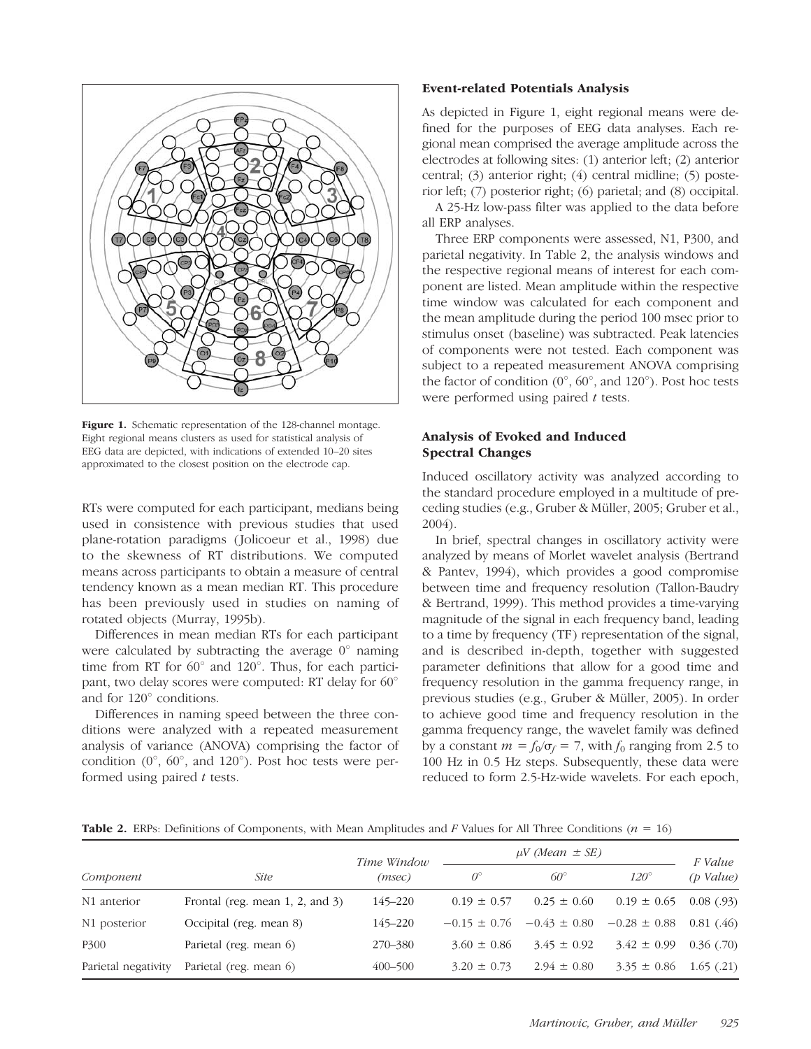

Figure 1. Schematic representation of the 128-channel montage. Eight regional means clusters as used for statistical analysis of EEG data are depicted, with indications of extended 10–20 sites approximated to the closest position on the electrode cap.

RTs were computed for each participant, medians being used in consistence with previous studies that used plane-rotation paradigms (Jolicoeur et al., 1998) due to the skewness of RT distributions. We computed means across participants to obtain a measure of central tendency known as a mean median RT. This procedure has been previously used in studies on naming of rotated objects (Murray, 1995b).

Differences in mean median RTs for each participant were calculated by subtracting the average  $0^{\circ}$  naming time from RT for  $60^{\circ}$  and  $120^{\circ}$ . Thus, for each participant, two delay scores were computed: RT delay for  $60^\circ$ and for  $120^\circ$  conditions.

Differences in naming speed between the three conditions were analyzed with a repeated measurement analysis of variance (ANOVA) comprising the factor of condition  $(0^{\circ}, 60^{\circ},$  and  $120^{\circ})$ . Post hoc tests were performed using paired  $t$  tests.

## Event-related Potentials Analysis

As depicted in Figure 1, eight regional means were defined for the purposes of EEG data analyses. Each regional mean comprised the average amplitude across the electrodes at following sites: (1) anterior left; (2) anterior central; (3) anterior right; (4) central midline; (5) posterior left; (7) posterior right; (6) parietal; and (8) occipital.

A 25-Hz low-pass filter was applied to the data before all ERP analyses.

Three ERP components were assessed, N1, P300, and parietal negativity. In Table 2, the analysis windows and the respective regional means of interest for each component are listed. Mean amplitude within the respective time window was calculated for each component and the mean amplitude during the period 100 msec prior to stimulus onset (baseline) was subtracted. Peak latencies of components were not tested. Each component was subject to a repeated measurement ANOVA comprising the factor of condition  $(0^{\circ}, 60^{\circ},$  and  $120^{\circ})$ . Post hoc tests were performed using paired *t* tests.

# Analysis of Evoked and Induced Spectral Changes

Induced oscillatory activity was analyzed according to the standard procedure employed in a multitude of preceding studies (e.g., Gruber & Müller, 2005; Gruber et al., 2004).

In brief, spectral changes in oscillatory activity were analyzed by means of Morlet wavelet analysis (Bertrand & Pantev, 1994), which provides a good compromise between time and frequency resolution (Tallon-Baudry & Bertrand, 1999). This method provides a time-varying magnitude of the signal in each frequency band, leading to a time by frequency (TF) representation of the signal, and is described in-depth, together with suggested parameter definitions that allow for a good time and frequency resolution in the gamma frequency range, in previous studies (e.g., Gruber & Müller, 2005). In order to achieve good time and frequency resolution in the gamma frequency range, the wavelet family was defined by a constant  $m = f_0/\sigma_f = 7$ , with  $f_0$  ranging from 2.5 to 100 Hz in 0.5 Hz steps. Subsequently, these data were reduced to form 2.5-Hz-wide wavelets. For each epoch,

**Table 2.** ERPs: Definitions of Components, with Mean Amplitudes and F Values for All Three Conditions ( $n = 16$ )

|                     |                                       | Time Window<br>(msec) | $\mu$ V (Mean $\pm$ SE) | F Value          |                            |            |
|---------------------|---------------------------------------|-----------------------|-------------------------|------------------|----------------------------|------------|
| Component           | <i>Site</i>                           |                       | $\theta^{\circ}$        | $60^{\circ}$     | $120^\circ$                | (p Value)  |
| N1 anterior         | Frontal (reg. mean $1, 2$ , and $3$ ) | 145–220               | $0.19 \pm 0.57$         | $0.25 \pm 0.60$  | $0.19 \pm 0.65$ 0.08 (.93) |            |
| N1 posterior        | Occipital (reg. mean 8)               | 145–220               | $-0.15 \pm 0.76$        | $-0.43 \pm 0.80$ | $-0.28 \pm 0.88$           | 0.81(0.46) |
| P <sub>300</sub>    | Parietal (reg. mean 6)                | $270 - 380$           | $3.60 \pm 0.86$         | $3.45 \pm 0.92$  | $3.42 \pm 0.99$            | 0.36(.70)  |
| Parietal negativity | Parietal (reg. mean 6)                | $400 - 500$           | $3.20 \pm 0.73$         | $2.94 \pm 0.80$  | $3.35 \pm 0.86$            | 1.65(.21)  |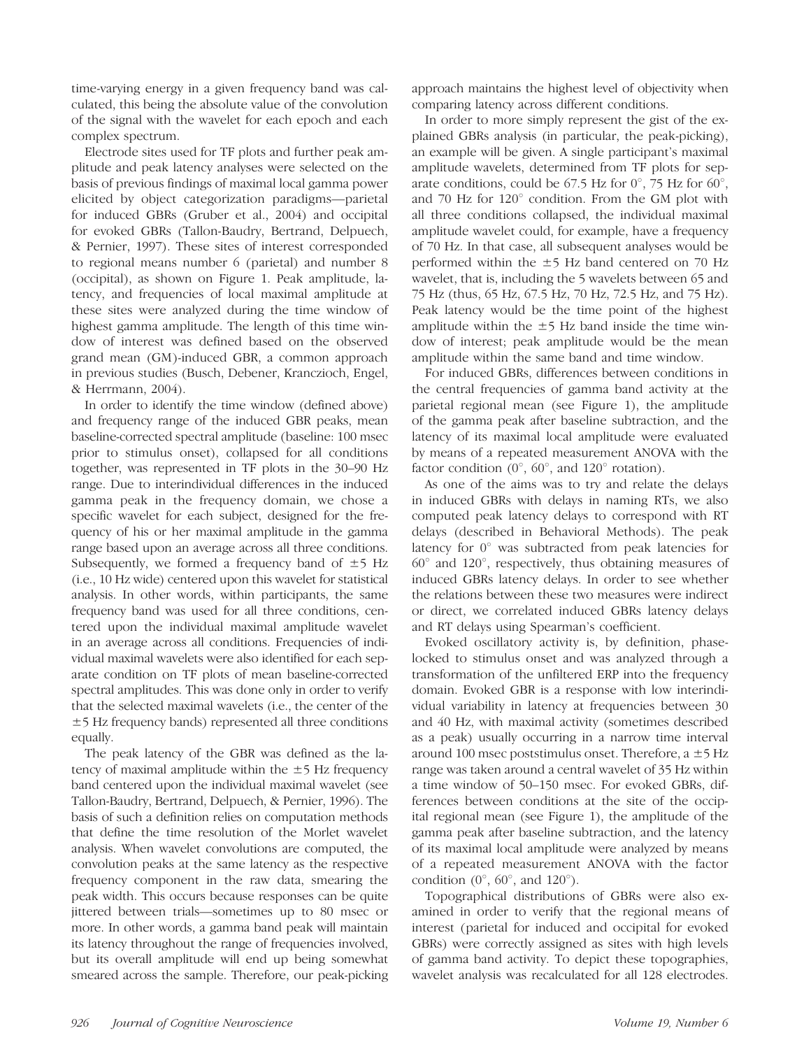time-varying energy in a given frequency band was calculated, this being the absolute value of the convolution of the signal with the wavelet for each epoch and each complex spectrum.

Electrode sites used for TF plots and further peak amplitude and peak latency analyses were selected on the basis of previous findings of maximal local gamma power elicited by object categorization paradigms—parietal for induced GBRs (Gruber et al., 2004) and occipital for evoked GBRs (Tallon-Baudry, Bertrand, Delpuech, & Pernier, 1997). These sites of interest corresponded to regional means number 6 (parietal) and number 8 (occipital), as shown on Figure 1. Peak amplitude, latency, and frequencies of local maximal amplitude at these sites were analyzed during the time window of highest gamma amplitude. The length of this time window of interest was defined based on the observed grand mean (GM)-induced GBR, a common approach in previous studies (Busch, Debener, Kranczioch, Engel, & Herrmann, 2004).

In order to identify the time window (defined above) and frequency range of the induced GBR peaks, mean baseline-corrected spectral amplitude (baseline: 100 msec prior to stimulus onset), collapsed for all conditions together, was represented in TF plots in the 30–90 Hz range. Due to interindividual differences in the induced gamma peak in the frequency domain, we chose a specific wavelet for each subject, designed for the frequency of his or her maximal amplitude in the gamma range based upon an average across all three conditions. Subsequently, we formed a frequency band of  $\pm$ 5 Hz (i.e., 10 Hz wide) centered upon this wavelet for statistical analysis. In other words, within participants, the same frequency band was used for all three conditions, centered upon the individual maximal amplitude wavelet in an average across all conditions. Frequencies of individual maximal wavelets were also identified for each separate condition on TF plots of mean baseline-corrected spectral amplitudes. This was done only in order to verify that the selected maximal wavelets (i.e., the center of the ±5 Hz frequency bands) represented all three conditions equally.

The peak latency of the GBR was defined as the latency of maximal amplitude within the  $\pm$ 5 Hz frequency band centered upon the individual maximal wavelet (see Tallon-Baudry, Bertrand, Delpuech, & Pernier, 1996). The basis of such a definition relies on computation methods that define the time resolution of the Morlet wavelet analysis. When wavelet convolutions are computed, the convolution peaks at the same latency as the respective frequency component in the raw data, smearing the peak width. This occurs because responses can be quite jittered between trials—sometimes up to 80 msec or more. In other words, a gamma band peak will maintain its latency throughout the range of frequencies involved, but its overall amplitude will end up being somewhat smeared across the sample. Therefore, our peak-picking approach maintains the highest level of objectivity when comparing latency across different conditions.

In order to more simply represent the gist of the explained GBRs analysis (in particular, the peak-picking), an example will be given. A single participant's maximal amplitude wavelets, determined from TF plots for separate conditions, could be 67.5 Hz for  $0^\circ$ , 75 Hz for  $60^\circ$ , and 70 Hz for  $120^\circ$  condition. From the GM plot with all three conditions collapsed, the individual maximal amplitude wavelet could, for example, have a frequency of 70 Hz. In that case, all subsequent analyses would be performed within the  $\pm$ 5 Hz band centered on 70 Hz wavelet, that is, including the 5 wavelets between 65 and 75 Hz (thus, 65 Hz, 67.5 Hz, 70 Hz, 72.5 Hz, and 75 Hz). Peak latency would be the time point of the highest amplitude within the  $\pm$ 5 Hz band inside the time window of interest; peak amplitude would be the mean amplitude within the same band and time window.

For induced GBRs, differences between conditions in the central frequencies of gamma band activity at the parietal regional mean (see Figure 1), the amplitude of the gamma peak after baseline subtraction, and the latency of its maximal local amplitude were evaluated by means of a repeated measurement ANOVA with the factor condition  $(0^{\circ}, 60^{\circ}, \text{ and } 120^{\circ} \text{ rotation}).$ 

As one of the aims was to try and relate the delays in induced GBRs with delays in naming RTs, we also computed peak latency delays to correspond with RT delays (described in Behavioral Methods). The peak latency for  $0^\circ$  was subtracted from peak latencies for  $60^{\circ}$  and  $120^{\circ}$ , respectively, thus obtaining measures of induced GBRs latency delays. In order to see whether the relations between these two measures were indirect or direct, we correlated induced GBRs latency delays and RT delays using Spearman's coefficient.

Evoked oscillatory activity is, by definition, phaselocked to stimulus onset and was analyzed through a transformation of the unfiltered ERP into the frequency domain. Evoked GBR is a response with low interindividual variability in latency at frequencies between 30 and 40 Hz, with maximal activity (sometimes described as a peak) usually occurring in a narrow time interval around 100 msec poststimulus onset. Therefore,  $a \pm 5$  Hz range was taken around a central wavelet of 35 Hz within a time window of 50–150 msec. For evoked GBRs, differences between conditions at the site of the occipital regional mean (see Figure 1), the amplitude of the gamma peak after baseline subtraction, and the latency of its maximal local amplitude were analyzed by means of a repeated measurement ANOVA with the factor condition ( $0^\circ$ ,  $60^\circ$ , and  $120^\circ$ ).

Topographical distributions of GBRs were also examined in order to verify that the regional means of interest (parietal for induced and occipital for evoked GBRs) were correctly assigned as sites with high levels of gamma band activity. To depict these topographies, wavelet analysis was recalculated for all 128 electrodes.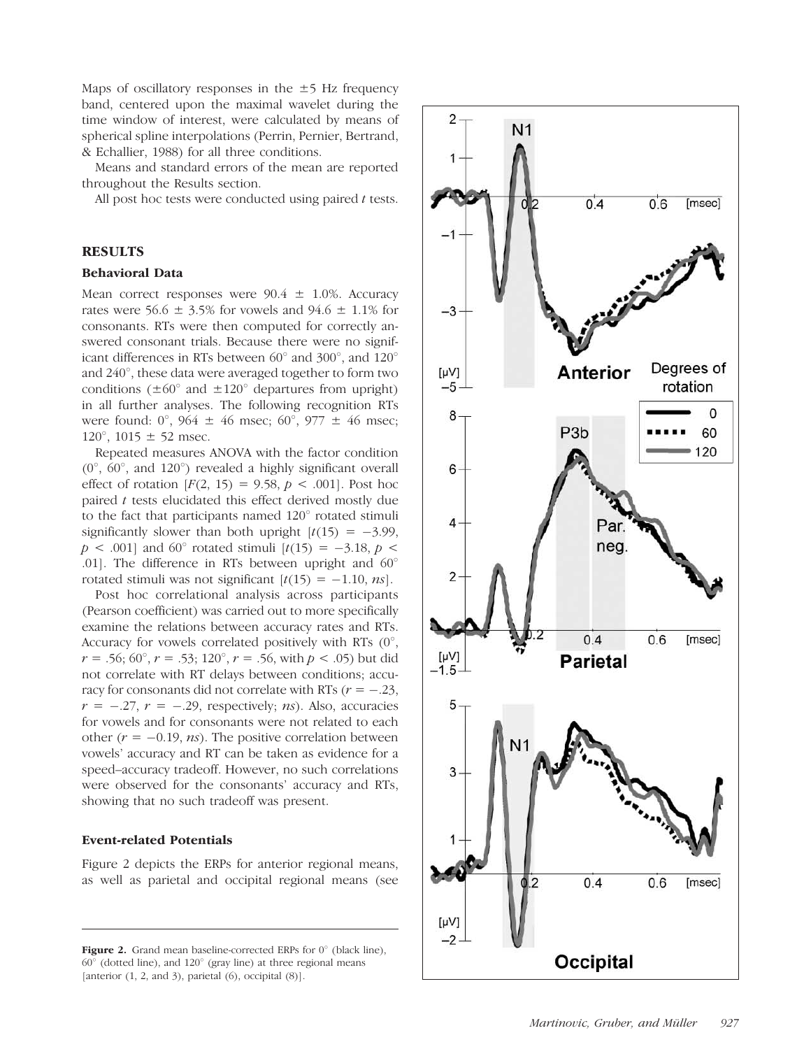Maps of oscillatory responses in the  $\pm$ 5 Hz frequency band, centered upon the maximal wavelet during the time window of interest, were calculated by means of spherical spline interpolations (Perrin, Pernier, Bertrand, & Echallier, 1988) for all three conditions.

Means and standard errors of the mean are reported throughout the Results section.

All post hoc tests were conducted using paired  $t$  tests.

## RESULTS

## Behavioral Data

Mean correct responses were  $90.4 \pm 1.0\%$ . Accuracy rates were 56.6  $\pm$  3.5% for vowels and 94.6  $\pm$  1.1% for consonants. RTs were then computed for correctly answered consonant trials. Because there were no significant differences in RTs between  $60^{\circ}$  and  $300^{\circ}$ , and  $120^{\circ}$ and 240°, these data were averaged together to form two conditions ( $\pm 60^{\circ}$  and  $\pm 120^{\circ}$  departures from upright) in all further analyses. The following recognition RTs were found:  $0^{\circ}$ ,  $964 \pm 46$  msec;  $60^{\circ}$ ,  $977 \pm 46$  msec;  $120^{\circ}$ , 1015  $\pm$  52 msec.

Repeated measures ANOVA with the factor condition  $(0^{\circ}, 60^{\circ},$  and  $120^{\circ})$  revealed a highly significant overall effect of rotation  $[F(2, 15) = 9.58, p < .001]$ . Post hoc paired  $t$  tests elucidated this effect derived mostly due to the fact that participants named  $120^\circ$  rotated stimuli significantly slower than both upright  $[t(15) = -3.99]$ ,  $p < .001$  and 60° rotated stimuli  $[t(15) = -3.18, p <$ .01]. The difference in RTs between upright and  $60^\circ$ rotated stimuli was not significant  $[t(15) = -1.10, ns]$ .

Post hoc correlational analysis across participants (Pearson coefficient) was carried out to more specifically examine the relations between accuracy rates and RTs. Accuracy for vowels correlated positively with RTs  $(0^{\circ},$  $r = .56$ ; 60°,  $r = .53$ ; 120°,  $r = .56$ , with  $p < .05$ ) but did not correlate with RT delays between conditions; accuracy for consonants did not correlate with RTs ( $r = -.23$ ,  $r = -.27$ ,  $r = -.29$ , respectively; *ns*). Also, accuracies for vowels and for consonants were not related to each other  $(r = -0.19, ns)$ . The positive correlation between vowels' accuracy and RT can be taken as evidence for a speed–accuracy tradeoff. However, no such correlations were observed for the consonants' accuracy and RTs, showing that no such tradeoff was present.

## Event-related Potentials

Figure 2 depicts the ERPs for anterior regional means, as well as parietal and occipital regional means (see

**Figure 2.** Grand mean baseline-corrected ERPs for  $0^{\circ}$  (black line),  $60^\circ$  (dotted line), and  $120^\circ$  (gray line) at three regional means [anterior  $(1, 2, and 3)$ , parietal  $(6)$ , occipital  $(8)$ ].

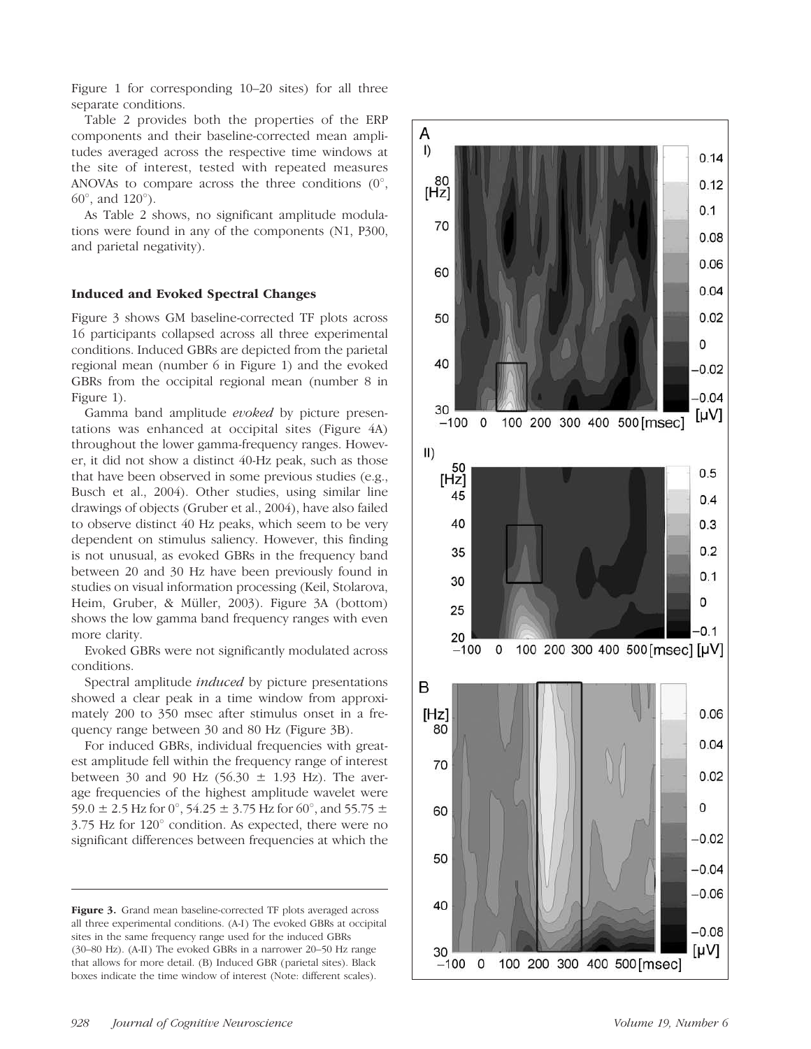Figure 1 for corresponding 10–20 sites) for all three separate conditions.

Table 2 provides both the properties of the ERP components and their baseline-corrected mean amplitudes averaged across the respective time windows at the site of interest, tested with repeated measures ANOVAs to compare across the three conditions  $(0^{\circ},$  $60^{\circ}$ , and  $120^{\circ}$ ).

As Table 2 shows, no significant amplitude modulations were found in any of the components (N1, P300, and parietal negativity).

## Induced and Evoked Spectral Changes

Figure 3 shows GM baseline-corrected TF plots across 16 participants collapsed across all three experimental conditions. Induced GBRs are depicted from the parietal regional mean (number 6 in Figure 1) and the evoked GBRs from the occipital regional mean (number 8 in Figure 1).

Gamma band amplitude evoked by picture presentations was enhanced at occipital sites (Figure 4A) throughout the lower gamma-frequency ranges. However, it did not show a distinct 40-Hz peak, such as those that have been observed in some previous studies (e.g., Busch et al., 2004). Other studies, using similar line drawings of objects (Gruber et al., 2004), have also failed to observe distinct 40 Hz peaks, which seem to be very dependent on stimulus saliency. However, this finding is not unusual, as evoked GBRs in the frequency band between 20 and 30 Hz have been previously found in studies on visual information processing (Keil, Stolarova, Heim, Gruber, & Müller, 2003). Figure 3A (bottom) shows the low gamma band frequency ranges with even more clarity.

Evoked GBRs were not significantly modulated across conditions.

Spectral amplitude *induced* by picture presentations showed a clear peak in a time window from approximately 200 to 350 msec after stimulus onset in a frequency range between 30 and 80 Hz (Figure 3B).

For induced GBRs, individual frequencies with greatest amplitude fell within the frequency range of interest between 30 and 90 Hz (56.30  $\pm$  1.93 Hz). The average frequencies of the highest amplitude wavelet were 59.0  $\pm$  2.5 Hz for 0°, 54.25  $\pm$  3.75 Hz for 60°, and 55.75  $\pm$  $3.75$  Hz for  $120^{\circ}$  condition. As expected, there were no significant differences between frequencies at which the

Figure 3. Grand mean baseline-corrected TF plots averaged across all three experimental conditions. (A-I) The evoked GBRs at occipital sites in the same frequency range used for the induced GBRs (30–80 Hz). (A-II) The evoked GBRs in a narrower 20–50 Hz range that allows for more detail. (B) Induced GBR (parietal sites). Black boxes indicate the time window of interest (Note: different scales).

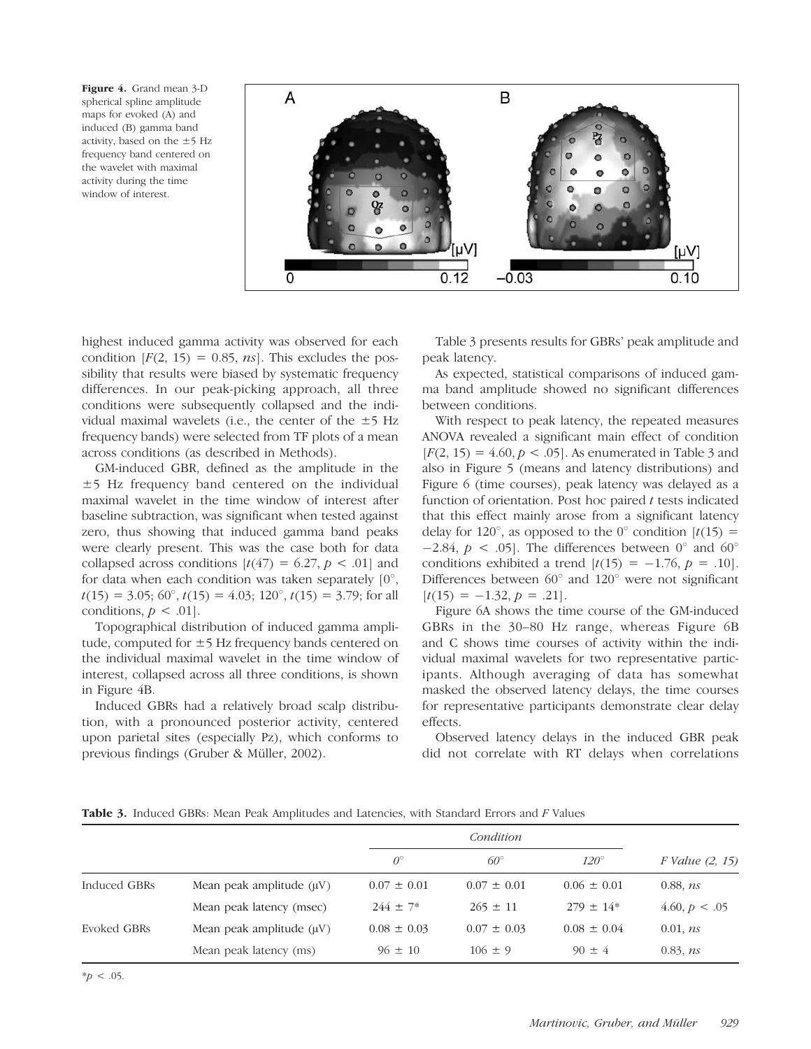Figure 4. Grand mean 3-D spherical spline amplitude maps for evoked (A) and induced (B) gamma band activity, based on the ±5 Hz frequency band centered on the wavelet with maximal activity during the time window of interest.



highest induced gamma activity was observed for each condition  $[F(2, 15) = 0.85, ns]$ . This excludes the possibility that results were biased by systematic frequency differences. In our peak-picking approach, all three conditions were subsequently collapsed and the individual maximal wavelets (i.e., the center of the  $\pm$ 5 Hz frequency bands) were selected from TF plots of a mean across conditions (as described in Methods).

GM-induced GBR, defined as the amplitude in the ±5 Hz frequency band centered on the individual maximal wavelet in the time window of interest after baseline subtraction, was significant when tested against zero, thus showing that induced gamma band peaks were clearly present. This was the case both for data collapsed across conditions  $[t(47) = 6.27, p < .01]$  and for data when each condition was taken separately  $[0^\circ,$  $t(15) = 3.05$ ;  $60^{\circ}$ ,  $t(15) = 4.03$ ;  $120^{\circ}$ ,  $t(15) = 3.79$ ; for all conditions,  $p < .01$ .

Topographical distribution of induced gamma amplitude, computed for  $\pm$ 5 Hz frequency bands centered on the individual maximal wavelet in the time window of interest, collapsed across all three conditions, is shown in Figure 4B.

Induced GBRs had a relatively broad scalp distribution, with a pronounced posterior activity, centered upon parietal sites (especially Pz), which conforms to previous findings (Gruber & Müller, 2002).

Table 3 presents results for GBRs' peak amplitude and peak latency.

As expected, statistical comparisons of induced gamma band amplitude showed no significant differences between conditions.

With respect to peak latency, the repeated measures ANOVA revealed a significant main effect of condition  $[F(2, 15) = 4.60, p < .05]$ . As enumerated in Table 3 and also in Figure 5 (means and latency distributions) and Figure 6 (time courses), peak latency was delayed as a function of orientation. Post hoc paired  $t$  tests indicated that this effect mainly arose from a significant latency delay for 120°, as opposed to the 0° condition  $[t(15) =$  $-2.84$ ,  $p < .05$ . The differences between 0° and 60° conditions exhibited a trend  $[t(15) = -1.76, p = .10]$ . Differences between  $60^{\circ}$  and  $120^{\circ}$  were not significant  $[t(15) = -1.32, p = .21].$ 

Figure 6A shows the time course of the GM-induced GBRs in the 30–80 Hz range, whereas Figure 6B and C shows time courses of activity within the individual maximal wavelets for two representative participants. Although averaging of data has somewhat masked the observed latency delays, the time courses for representative participants demonstrate clear delay effects.

Observed latency delays in the induced GBR peak did not correlate with RT delays when correlations

|  |  |  |  |  | <b>Table 3.</b> Induced GBRs: Mean Peak Amplitudes and Latencies, with Standard Errors and F Values |  |  |  |  |  |  |  |
|--|--|--|--|--|-----------------------------------------------------------------------------------------------------|--|--|--|--|--|--|--|
|--|--|--|--|--|-----------------------------------------------------------------------------------------------------|--|--|--|--|--|--|--|

|              |                               | Condition        |                 |                 |                        |
|--------------|-------------------------------|------------------|-----------------|-----------------|------------------------|
|              |                               | $\theta^{\circ}$ | $60^{\circ}$    | $120^\circ$     | <i>F</i> Value (2, 15) |
| Induced GBRs | Mean peak amplitude $(\mu V)$ | $0.07 \pm 0.01$  | $0.07 \pm 0.01$ | $0.06 \pm 0.01$ | $0.88$ , $ns$          |
|              | Mean peak latency (msec)      | $244 \pm 7*$     | $265 \pm 11$    | $279 \pm 14$ *  | 4.60, $p < .05$        |
| Evoked GBRs  | Mean peak amplitude $(\mu V)$ | $0.08 \pm 0.03$  | $0.07 \pm 0.03$ | $0.08 \pm 0.04$ | $0.01$ , $ns$          |
|              | Mean peak latency (ms)        | $96 \pm 10$      | $106 \pm 9$     | $90 \pm 4$      | 0.83, ns               |

 $*_{\mathcal{D}} < .05$ .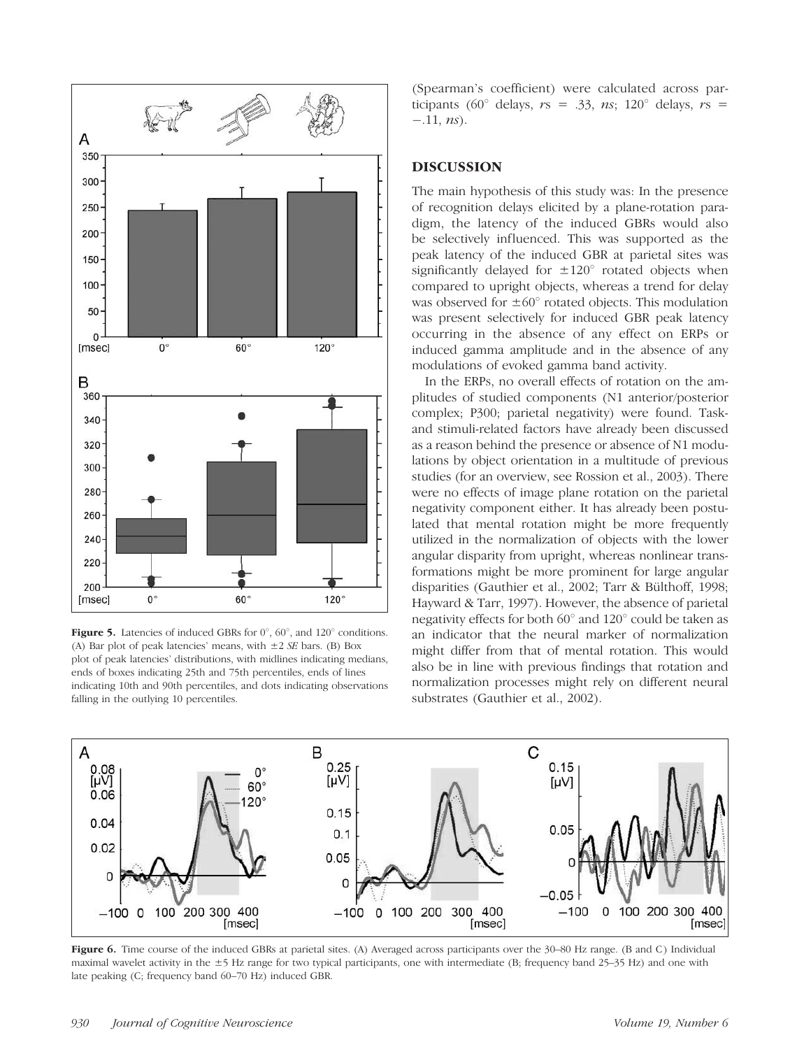

**Figure 5.** Latencies of induced GBRs for  $0^\circ$ ,  $60^\circ$ , and  $120^\circ$  conditions. (A) Bar plot of peak latencies' means, with  $\pm 2$  SE bars. (B) Box plot of peak latencies' distributions, with midlines indicating medians, ends of boxes indicating 25th and 75th percentiles, ends of lines indicating 10th and 90th percentiles, and dots indicating observations falling in the outlying 10 percentiles.

(Spearman's coefficient) were calculated across participants (60° delays,  $rs = .33$ ,  $ns$ ; 120° delays,  $rs =$  $-.11, ns$ ).

## DISCUSSION

The main hypothesis of this study was: In the presence of recognition delays elicited by a plane-rotation paradigm, the latency of the induced GBRs would also be selectively influenced. This was supported as the peak latency of the induced GBR at parietal sites was significantly delayed for  $\pm 120^\circ$  rotated objects when compared to upright objects, whereas a trend for delay was observed for  $\pm 60^{\circ}$  rotated objects. This modulation was present selectively for induced GBR peak latency occurring in the absence of any effect on ERPs or induced gamma amplitude and in the absence of any modulations of evoked gamma band activity.

In the ERPs, no overall effects of rotation on the amplitudes of studied components (N1 anterior/posterior complex; P300; parietal negativity) were found. Taskand stimuli-related factors have already been discussed as a reason behind the presence or absence of N1 modulations by object orientation in a multitude of previous studies (for an overview, see Rossion et al., 2003). There were no effects of image plane rotation on the parietal negativity component either. It has already been postulated that mental rotation might be more frequently utilized in the normalization of objects with the lower angular disparity from upright, whereas nonlinear transformations might be more prominent for large angular disparities (Gauthier et al., 2002; Tarr & Bülthoff, 1998; Hayward & Tarr, 1997). However, the absence of parietal negativity effects for both  $60^{\circ}$  and  $120^{\circ}$  could be taken as an indicator that the neural marker of normalization might differ from that of mental rotation. This would also be in line with previous findings that rotation and normalization processes might rely on different neural substrates (Gauthier et al., 2002).



Figure 6. Time course of the induced GBRs at parietal sites. (A) Averaged across participants over the 30–80 Hz range. (B and C) Individual maximal wavelet activity in the ±5 Hz range for two typical participants, one with intermediate (B; frequency band 25–35 Hz) and one with late peaking (C; frequency band 60–70 Hz) induced GBR.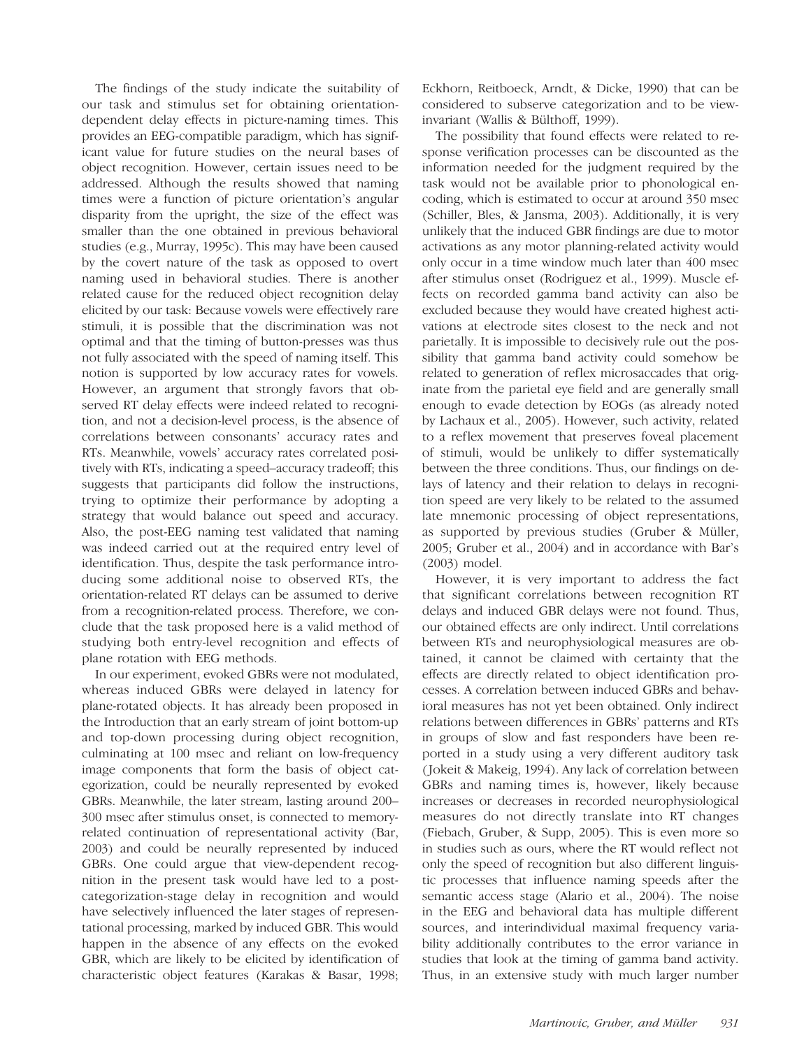The findings of the study indicate the suitability of our task and stimulus set for obtaining orientationdependent delay effects in picture-naming times. This provides an EEG-compatible paradigm, which has significant value for future studies on the neural bases of object recognition. However, certain issues need to be addressed. Although the results showed that naming times were a function of picture orientation's angular disparity from the upright, the size of the effect was smaller than the one obtained in previous behavioral studies (e.g., Murray, 1995c). This may have been caused by the covert nature of the task as opposed to overt naming used in behavioral studies. There is another related cause for the reduced object recognition delay elicited by our task: Because vowels were effectively rare stimuli, it is possible that the discrimination was not optimal and that the timing of button-presses was thus not fully associated with the speed of naming itself. This notion is supported by low accuracy rates for vowels. However, an argument that strongly favors that observed RT delay effects were indeed related to recognition, and not a decision-level process, is the absence of correlations between consonants' accuracy rates and RTs. Meanwhile, vowels' accuracy rates correlated positively with RTs, indicating a speed–accuracy tradeoff; this suggests that participants did follow the instructions, trying to optimize their performance by adopting a strategy that would balance out speed and accuracy. Also, the post-EEG naming test validated that naming was indeed carried out at the required entry level of identification. Thus, despite the task performance introducing some additional noise to observed RTs, the orientation-related RT delays can be assumed to derive from a recognition-related process. Therefore, we conclude that the task proposed here is a valid method of studying both entry-level recognition and effects of plane rotation with EEG methods.

In our experiment, evoked GBRs were not modulated, whereas induced GBRs were delayed in latency for plane-rotated objects. It has already been proposed in the Introduction that an early stream of joint bottom-up and top-down processing during object recognition, culminating at 100 msec and reliant on low-frequency image components that form the basis of object categorization, could be neurally represented by evoked GBRs. Meanwhile, the later stream, lasting around 200– 300 msec after stimulus onset, is connected to memoryrelated continuation of representational activity (Bar, 2003) and could be neurally represented by induced GBRs. One could argue that view-dependent recognition in the present task would have led to a postcategorization-stage delay in recognition and would have selectively influenced the later stages of representational processing, marked by induced GBR. This would happen in the absence of any effects on the evoked GBR, which are likely to be elicited by identification of characteristic object features (Karakas & Basar, 1998; Eckhorn, Reitboeck, Arndt, & Dicke, 1990) that can be considered to subserve categorization and to be viewinvariant (Wallis & Bülthoff, 1999).

The possibility that found effects were related to response verification processes can be discounted as the information needed for the judgment required by the task would not be available prior to phonological encoding, which is estimated to occur at around 350 msec (Schiller, Bles, & Jansma, 2003). Additionally, it is very unlikely that the induced GBR findings are due to motor activations as any motor planning-related activity would only occur in a time window much later than 400 msec after stimulus onset (Rodriguez et al., 1999). Muscle effects on recorded gamma band activity can also be excluded because they would have created highest activations at electrode sites closest to the neck and not parietally. It is impossible to decisively rule out the possibility that gamma band activity could somehow be related to generation of reflex microsaccades that originate from the parietal eye field and are generally small enough to evade detection by EOGs (as already noted by Lachaux et al., 2005). However, such activity, related to a reflex movement that preserves foveal placement of stimuli, would be unlikely to differ systematically between the three conditions. Thus, our findings on delays of latency and their relation to delays in recognition speed are very likely to be related to the assumed late mnemonic processing of object representations, as supported by previous studies (Gruber & Müller, 2005; Gruber et al., 2004) and in accordance with Bar's (2003) model.

However, it is very important to address the fact that significant correlations between recognition RT delays and induced GBR delays were not found. Thus, our obtained effects are only indirect. Until correlations between RTs and neurophysiological measures are obtained, it cannot be claimed with certainty that the effects are directly related to object identification processes. A correlation between induced GBRs and behavioral measures has not yet been obtained. Only indirect relations between differences in GBRs' patterns and RTs in groups of slow and fast responders have been reported in a study using a very different auditory task (Jokeit & Makeig, 1994). Any lack of correlation between GBRs and naming times is, however, likely because increases or decreases in recorded neurophysiological measures do not directly translate into RT changes (Fiebach, Gruber, & Supp, 2005). This is even more so in studies such as ours, where the RT would reflect not only the speed of recognition but also different linguistic processes that influence naming speeds after the semantic access stage (Alario et al., 2004). The noise in the EEG and behavioral data has multiple different sources, and interindividual maximal frequency variability additionally contributes to the error variance in studies that look at the timing of gamma band activity. Thus, in an extensive study with much larger number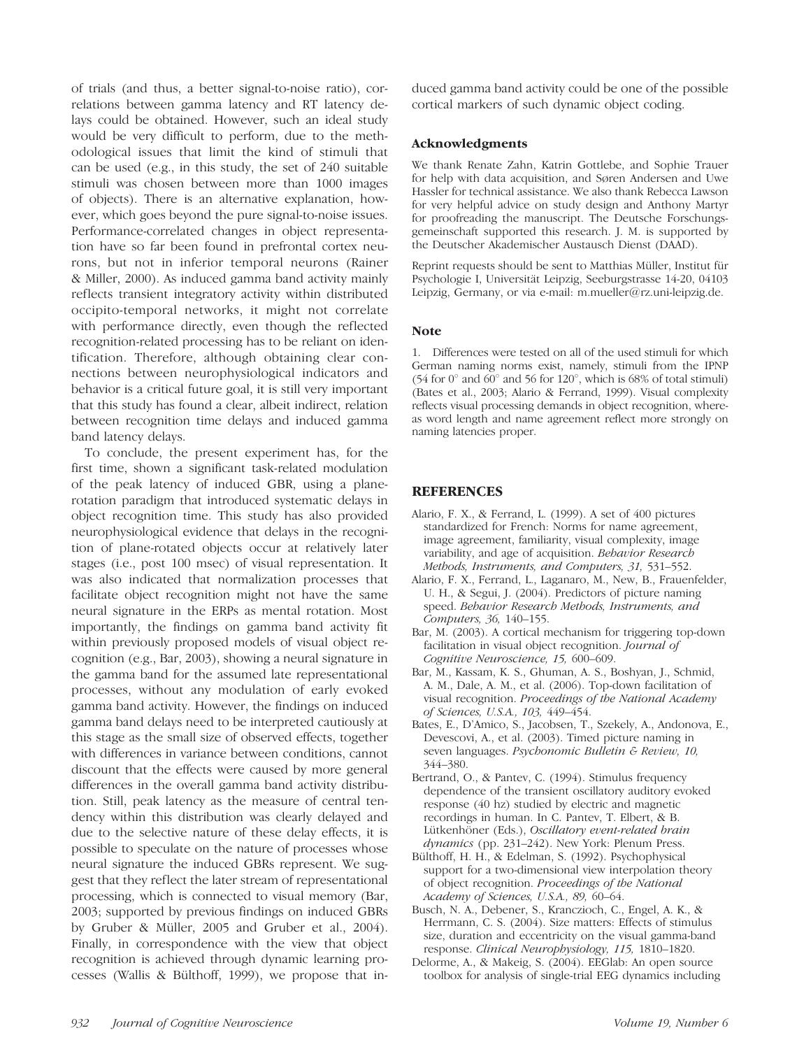of trials (and thus, a better signal-to-noise ratio), correlations between gamma latency and RT latency delays could be obtained. However, such an ideal study would be very difficult to perform, due to the methodological issues that limit the kind of stimuli that can be used (e.g., in this study, the set of 240 suitable stimuli was chosen between more than 1000 images of objects). There is an alternative explanation, however, which goes beyond the pure signal-to-noise issues. Performance-correlated changes in object representation have so far been found in prefrontal cortex neurons, but not in inferior temporal neurons (Rainer & Miller, 2000). As induced gamma band activity mainly reflects transient integratory activity within distributed occipito-temporal networks, it might not correlate with performance directly, even though the reflected recognition-related processing has to be reliant on identification. Therefore, although obtaining clear connections between neurophysiological indicators and behavior is a critical future goal, it is still very important that this study has found a clear, albeit indirect, relation between recognition time delays and induced gamma band latency delays.

To conclude, the present experiment has, for the first time, shown a significant task-related modulation of the peak latency of induced GBR, using a planerotation paradigm that introduced systematic delays in object recognition time. This study has also provided neurophysiological evidence that delays in the recognition of plane-rotated objects occur at relatively later stages (i.e., post 100 msec) of visual representation. It was also indicated that normalization processes that facilitate object recognition might not have the same neural signature in the ERPs as mental rotation. Most importantly, the findings on gamma band activity fit within previously proposed models of visual object recognition (e.g., Bar, 2003), showing a neural signature in the gamma band for the assumed late representational processes, without any modulation of early evoked gamma band activity. However, the findings on induced gamma band delays need to be interpreted cautiously at this stage as the small size of observed effects, together with differences in variance between conditions, cannot discount that the effects were caused by more general differences in the overall gamma band activity distribution. Still, peak latency as the measure of central tendency within this distribution was clearly delayed and due to the selective nature of these delay effects, it is possible to speculate on the nature of processes whose neural signature the induced GBRs represent. We suggest that they reflect the later stream of representational processing, which is connected to visual memory (Bar, 2003; supported by previous findings on induced GBRs by Gruber & Müller, 2005 and Gruber et al., 2004). Finally, in correspondence with the view that object recognition is achieved through dynamic learning processes (Wallis & Bülthoff, 1999), we propose that induced gamma band activity could be one of the possible cortical markers of such dynamic object coding.

## Acknowledgments

We thank Renate Zahn, Katrin Gottlebe, and Sophie Trauer for help with data acquisition, and Søren Andersen and Uwe Hassler for technical assistance. We also thank Rebecca Lawson for very helpful advice on study design and Anthony Martyr for proofreading the manuscript. The Deutsche Forschungsgemeinschaft supported this research. J. M. is supported by the Deutscher Akademischer Austausch Dienst (DAAD).

Reprint requests should be sent to Matthias Müller, Institut für Psychologie I, Universität Leipzig, Seeburgstrasse 14-20, 04103 Leipzig, Germany, or via e-mail: m.mueller@rz.uni-leipzig.de.

#### Note

1. Differences were tested on all of the used stimuli for which German naming norms exist, namely, stimuli from the IPNP (54 for  $0^\circ$  and  $60^\circ$  and 56 for 120 $^\circ$ , which is 68% of total stimuli) (Bates et al., 2003; Alario & Ferrand, 1999). Visual complexity reflects visual processing demands in object recognition, whereas word length and name agreement reflect more strongly on naming latencies proper.

## REFERENCES

- Alario, F. X., & Ferrand, L. (1999). A set of 400 pictures standardized for French: Norms for name agreement, image agreement, familiarity, visual complexity, image variability, and age of acquisition. Behavior Research Methods, Instruments, and Computers, 31, 531–552.
- Alario, F. X., Ferrand, L., Laganaro, M., New, B., Frauenfelder, U. H., & Segui, J. (2004). Predictors of picture naming speed. Behavior Research Methods, Instruments, and Computers, 36, 140–155.
- Bar, M. (2003). A cortical mechanism for triggering top-down facilitation in visual object recognition. Journal of Cognitive Neuroscience, 15, 600–609.
- Bar, M., Kassam, K. S., Ghuman, A. S., Boshyan, J., Schmid, A. M., Dale, A. M., et al. (2006). Top-down facilitation of visual recognition. Proceedings of the National Academy of Sciences, U.S.A., 103, 449–454.
- Bates, E., D'Amico, S., Jacobsen, T., Szekely, A., Andonova, E., Devescovi, A., et al. (2003). Timed picture naming in seven languages. Psychonomic Bulletin & Review, 10, 344–380.
- Bertrand, O., & Pantev, C. (1994). Stimulus frequency dependence of the transient oscillatory auditory evoked response (40 hz) studied by electric and magnetic recordings in human. In C. Pantev, T. Elbert, & B. Lütkenhöner (Eds.), Oscillatory event-related brain dynamics (pp. 231–242). New York: Plenum Press.
- Bülthoff, H. H., & Edelman, S. (1992). Psychophysical support for a two-dimensional view interpolation theory of object recognition. Proceedings of the National Academy of Sciences, U.S.A., 89, 60–64.
- Busch, N. A., Debener, S., Kranczioch, C., Engel, A. K., & Herrmann, C. S. (2004). Size matters: Effects of stimulus size, duration and eccentricity on the visual gamma-band response. Clinical Neurophysiology, 115, 1810–1820.
- Delorme, A., & Makeig, S. (2004). EEGlab: An open source toolbox for analysis of single-trial EEG dynamics including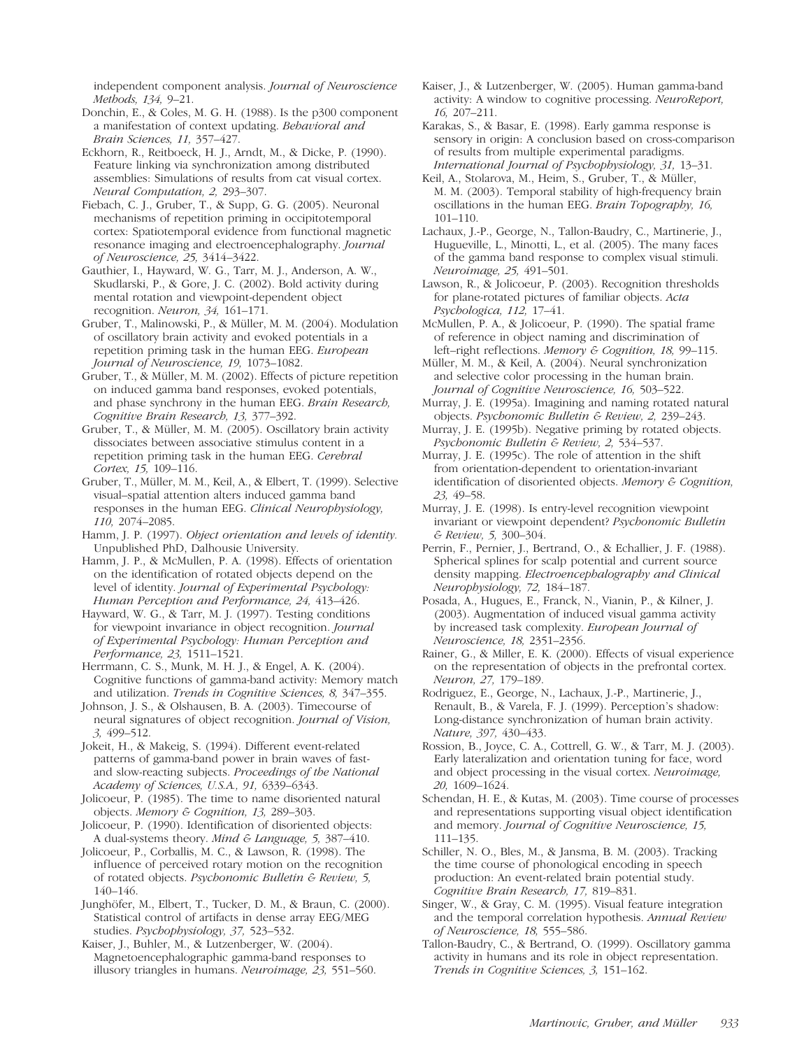independent component analysis. Journal of Neuroscience Methods, 134, 9–21.

Donchin, E., & Coles, M. G. H. (1988). Is the p300 component a manifestation of context updating. Behavioral and Brain Sciences, 11, 357–427.

Eckhorn, R., Reitboeck, H. J., Arndt, M., & Dicke, P. (1990). Feature linking via synchronization among distributed assemblies: Simulations of results from cat visual cortex. Neural Computation, 2, 293–307.

Fiebach, C. J., Gruber, T., & Supp, G. G. (2005). Neuronal mechanisms of repetition priming in occipitotemporal cortex: Spatiotemporal evidence from functional magnetic resonance imaging and electroencephalography. Journal of Neuroscience, 25, 3414–3422.

Gauthier, I., Hayward, W. G., Tarr, M. J., Anderson, A. W., Skudlarski, P., & Gore, J. C. (2002). Bold activity during mental rotation and viewpoint-dependent object recognition. Neuron, 34, 161–171.

Gruber, T., Malinowski, P., & Müller, M. M. (2004). Modulation of oscillatory brain activity and evoked potentials in a repetition priming task in the human EEG. European Journal of Neuroscience, 19, 1073–1082.

Gruber, T., & Müller, M. M. (2002). Effects of picture repetition on induced gamma band responses, evoked potentials, and phase synchrony in the human EEG. Brain Research, Cognitive Brain Research, 13, 377–392.

Gruber, T., & Müller, M. M. (2005). Oscillatory brain activity dissociates between associative stimulus content in a repetition priming task in the human EEG. Cerebral Cortex, 15, 109–116.

Gruber, T., Müller, M. M., Keil, A., & Elbert, T. (1999). Selective visual–spatial attention alters induced gamma band responses in the human EEG. Clinical Neurophysiology, 110, 2074–2085.

Hamm, J. P. (1997). Object orientation and levels of identity. Unpublished PhD, Dalhousie University.

Hamm, J. P., & McMullen, P. A. (1998). Effects of orientation on the identification of rotated objects depend on the level of identity. Journal of Experimental Psychology: Human Perception and Performance, 24, 413–426.

Hayward, W. G., & Tarr, M. J. (1997). Testing conditions for viewpoint invariance in object recognition. Journal of Experimental Psychology: Human Perception and Performance, 23, 1511–1521.

Herrmann, C. S., Munk, M. H. J., & Engel, A. K. (2004). Cognitive functions of gamma-band activity: Memory match and utilization. Trends in Cognitive Sciences, 8, 347–355.

Johnson, J. S., & Olshausen, B. A. (2003). Timecourse of neural signatures of object recognition. Journal of Vision, 3, 499–512.

Jokeit, H., & Makeig, S. (1994). Different event-related patterns of gamma-band power in brain waves of fastand slow-reacting subjects. Proceedings of the National Academy of Sciences, U.S.A., 91, 6339–6343.

Jolicoeur, P. (1985). The time to name disoriented natural objects. Memory & Cognition, 13, 289–303.

Jolicoeur, P. (1990). Identification of disoriented objects: A dual-systems theory. Mind & Language, 5, 387–410.

Jolicoeur, P., Corballis, M. C., & Lawson, R. (1998). The influence of perceived rotary motion on the recognition of rotated objects. Psychonomic Bulletin & Review, 5, 140–146.

Junghöfer, M., Elbert, T., Tucker, D. M., & Braun, C. (2000). Statistical control of artifacts in dense array EEG/MEG studies. Psychophysiology, 37, 523-532.

Kaiser, J., Buhler, M., & Lutzenberger, W. (2004). Magnetoencephalographic gamma-band responses to illusory triangles in humans. Neuroimage, 23, 551–560. Kaiser, J., & Lutzenberger, W. (2005). Human gamma-band activity: A window to cognitive processing. NeuroReport, 16, 207–211.

Karakas, S., & Basar, E. (1998). Early gamma response is sensory in origin: A conclusion based on cross-comparison of results from multiple experimental paradigms. International Journal of Psychophysiology, 31, 13–31.

Keil, A., Stolarova, M., Heim, S., Gruber, T., & Müller, M. M. (2003). Temporal stability of high-frequency brain oscillations in the human EEG. Brain Topography, 16, 101–110.

Lachaux, J.-P., George, N., Tallon-Baudry, C., Martinerie, J., Hugueville, L., Minotti, L., et al. (2005). The many faces of the gamma band response to complex visual stimuli. Neuroimage, 25, 491–501.

Lawson, R., & Jolicoeur, P. (2003). Recognition thresholds for plane-rotated pictures of familiar objects. Acta Psychologica, 112, 17–41.

McMullen, P. A., & Jolicoeur, P. (1990). The spatial frame of reference in object naming and discrimination of left–right reflections. Memory & Cognition, 18, 99–115.

Müller, M. M., & Keil, A. (2004). Neural synchronization and selective color processing in the human brain. Journal of Cognitive Neuroscience, 16, 503–522.

Murray, J. E. (1995a). Imagining and naming rotated natural objects. Psychonomic Bulletin & Review, 2, 239–243.

Murray, J. E. (1995b). Negative priming by rotated objects. Psychonomic Bulletin & Review, 2, 534–537.

Murray, J. E. (1995c). The role of attention in the shift from orientation-dependent to orientation-invariant identification of disoriented objects. Memory & Cognition, 23, 49–58.

Murray, J. E. (1998). Is entry-level recognition viewpoint invariant or viewpoint dependent? Psychonomic Bulletin & Review, 5, 300–304.

Perrin, F., Pernier, J., Bertrand, O., & Echallier, J. F. (1988). Spherical splines for scalp potential and current source density mapping. Electroencephalography and Clinical Neurophysiology, 72, 184–187.

Posada, A., Hugues, E., Franck, N., Vianin, P., & Kilner, J. (2003). Augmentation of induced visual gamma activity by increased task complexity. European Journal of Neuroscience, 18, 2351–2356.

Rainer, G., & Miller, E. K. (2000). Effects of visual experience on the representation of objects in the prefrontal cortex. Neuron, 27, 179–189.

Rodriguez, E., George, N., Lachaux, J.-P., Martinerie, J., Renault, B., & Varela, F. J. (1999). Perception's shadow: Long-distance synchronization of human brain activity. Nature, 397, 430–433.

Rossion, B., Joyce, C. A., Cottrell, G. W., & Tarr, M. J. (2003). Early lateralization and orientation tuning for face, word and object processing in the visual cortex. Neuroimage, 20, 1609–1624.

Schendan, H. E., & Kutas, M. (2003). Time course of processes and representations supporting visual object identification and memory. Journal of Cognitive Neuroscience, 15, 111–135.

Schiller, N. O., Bles, M., & Jansma, B. M. (2003). Tracking the time course of phonological encoding in speech production: An event-related brain potential study. Cognitive Brain Research, 17, 819–831.

Singer, W., & Gray, C. M. (1995). Visual feature integration and the temporal correlation hypothesis. Annual Review of Neuroscience, 18, 555–586.

Tallon-Baudry, C., & Bertrand, O. (1999). Oscillatory gamma activity in humans and its role in object representation. Trends in Cognitive Sciences, 3, 151–162.